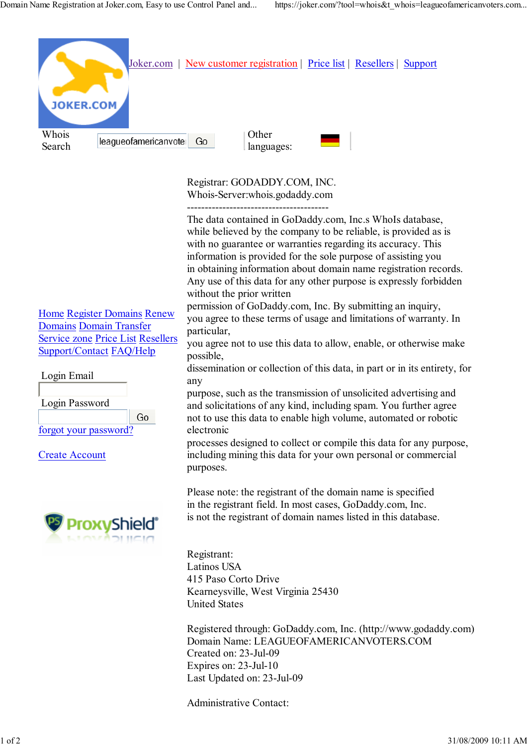